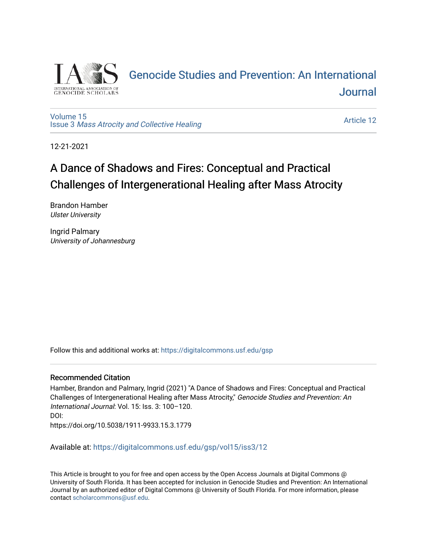

# [Genocide Studies and Prevention: An International](https://digitalcommons.usf.edu/gsp)  [Journal](https://digitalcommons.usf.edu/gsp)

### [Volume 15](https://digitalcommons.usf.edu/gsp/vol15) Issue 3 [Mass Atrocity and Collective Healing](https://digitalcommons.usf.edu/gsp/vol15/iss3)

[Article 12](https://digitalcommons.usf.edu/gsp/vol15/iss3/12) 

12-21-2021

# A Dance of Shadows and Fires: Conceptual and Practical Challenges of Intergenerational Healing after Mass Atrocity

Brandon Hamber Ulster University

Ingrid Palmary University of Johannesburg

Follow this and additional works at: [https://digitalcommons.usf.edu/gsp](https://digitalcommons.usf.edu/gsp?utm_source=digitalcommons.usf.edu%2Fgsp%2Fvol15%2Fiss3%2F12&utm_medium=PDF&utm_campaign=PDFCoverPages) 

## Recommended Citation

Hamber, Brandon and Palmary, Ingrid (2021) "A Dance of Shadows and Fires: Conceptual and Practical Challenges of Intergenerational Healing after Mass Atrocity," Genocide Studies and Prevention: An International Journal: Vol. 15: Iss. 3: 100–120. DOI: https://doi.org/10.5038/1911-9933.15.3.1779

Available at: [https://digitalcommons.usf.edu/gsp/vol15/iss3/12](https://digitalcommons.usf.edu/gsp/vol15/iss3/12?utm_source=digitalcommons.usf.edu%2Fgsp%2Fvol15%2Fiss3%2F12&utm_medium=PDF&utm_campaign=PDFCoverPages)

This Article is brought to you for free and open access by the Open Access Journals at Digital Commons @ University of South Florida. It has been accepted for inclusion in Genocide Studies and Prevention: An International Journal by an authorized editor of Digital Commons @ University of South Florida. For more information, please contact [scholarcommons@usf.edu](mailto:scholarcommons@usf.edu).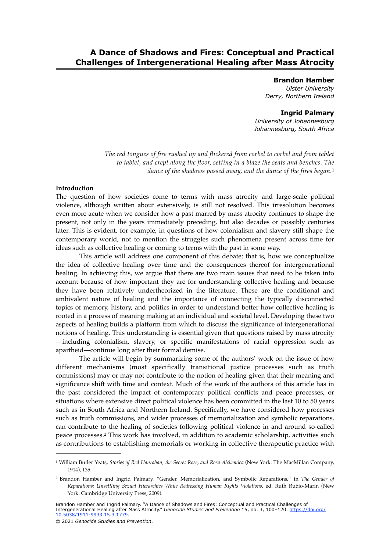# **A Dance of Shadows and Fires: Conceptual and Practical Challenges of Intergenerational Healing after Mass Atrocity**

#### **Brandon Hamber** *Ulster University*

*Derry, Northern Ireland*

### <span id="page-1-2"></span>**Ingrid Palmary**

*University of Johannesburg Johannesburg, South Africa*

*The red tongues of fire rushed up and flickered from corbel to corbel and from tablet to tablet, and crept along the floor, setting in a blaze the seats and benches. The dance of the shadows passed away, and the dance of the fires began.*[1](#page-1-0)

#### **Introduction**

The question of how societies come to terms with mass atrocity and large-scale political violence, although written about extensively, is still not resolved. This irresolution becomes even more acute when we consider how a past marred by mass atrocity continues to shape the present, not only in the years immediately preceding, but also decades or possibly centuries later. This is evident, for example, in questions of how colonialism and slavery still shape the contemporary world, not to mention the struggles such phenomena present across time for ideas such as collective healing or coming to terms with the past in some way.

This article will address one component of this debate; that is, how we conceptualize the idea of collective healing over time and the consequences thereof for intergenerational healing. In achieving this, we argue that there are two main issues that need to be taken into account because of how important they are for understanding collective healing and because they have been relatively undertheorized in the literature. These are the conditional and ambivalent nature of healing and the importance of connecting the typically disconnected topics of memory, history, and politics in order to understand better how collective healing is rooted in a process of meaning making at an individual and societal level. Developing these two aspects of healing builds a platform from which to discuss the significance of intergenerational notions of healing. This understanding is essential given that questions raised by mass atrocity —including colonialism, slavery, or specific manifestations of racial oppression such as apartheid—continue long after their formal demise.

The article will begin by summarizing some of the authors' work on the issue of how different mechanisms (most specifically transitional justice processes such as truth commissions) may or may not contribute to the notion of healing given that their meaning and significance shift with time and context. Much of the work of the authors of this article has in the past considered the impact of contemporary political conflicts and peace processes, or situations where extensive direct political violence has been committed in the last 10 to 50 years such as in South Africa and Northern Ireland. Specifically, we have considered how processes such as truth commissions, and wider processes of memorialization and symbolic reparations, can contribute to the healing of societies following political violence in and around so-called peace processes. This work has involved, in addition to academic scholarship, activities such [2](#page-1-1) as contributions to establishing memorials or working in collective therapeutic practice with

Brandon Hamber and Ingrid Palmary. "A Dance of Shadows and Fires: Conceptual and Practical Challenges of Intergenerational Healing after Mass Atrocity." *Genocide Studies and Prevention* 15, no. 3, 100–120. [https://doi.org/](https://doi.org/10.5038/1911-9933.15.3.1779) [10.5038/1911-9933.15.3.1779](https://doi.org/10.5038/1911-9933.15.3.1779).

<span id="page-1-3"></span><span id="page-1-0"></span><sup>&</sup>lt;sup>[1](#page-1-2)</sup> William Butler Yeats, *Stories of Red Hanrahan, the Secret Rose, and Rosa Alchemica* (New York: The MacMillan Company, 1914), 135.

<span id="page-1-1"></span>Brandon Hamber and Ingrid Palmary, "Gender, Memorialization, and Symbolic Reparations," in *The Gender of* [2](#page-1-3) *Reparations: Unsettling Sexual Hierarchies While Redressing Human Rights Violations*, ed. Ruth Rubio-Marin (New York: Cambridge University Press, 2009).

<sup>© 2021</sup> *Genocide Studies and Prevention*.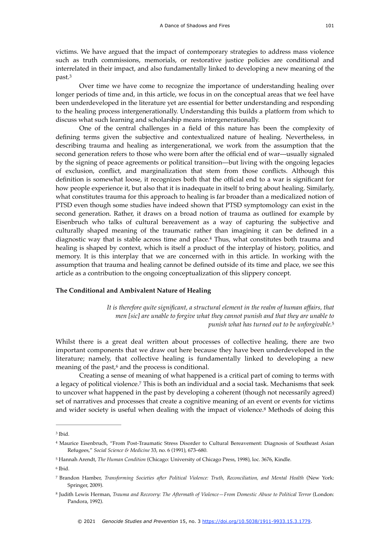victims. We have argued that the impact of contemporary strategies to address mass violence such as truth commissions, memorials, or restorative justice policies are conditional and interrelated in their impact, and also fundamentally linked to developing a new meaning of the past[.3](#page-2-0)

<span id="page-2-6"></span>Over time we have come to recognize the importance of understanding healing over longer periods of time and, in this article, we focus in on the conceptual areas that we feel have been underdeveloped in the literature yet are essential for better understanding and responding to the healing process intergenerationally. Understanding this builds a platform from which to discuss what such learning and scholarship means intergenerationally.

One of the central challenges in a field of this nature has been the complexity of defining terms given the subjective and contextualized nature of healing. Nevertheless, in describing trauma and healing as intergenerational, we work from the assumption that the second generation refers to those who were born after the official end of war—usually signaled by the signing of peace agreements or political transition—but living with the ongoing legacies of exclusion, conflict, and marginalization that stem from those conflicts. Although this definition is somewhat loose, it recognizes both that the official end to a war is significant for how people experience it, but also that it is inadequate in itself to bring about healing. Similarly, what constitutes trauma for this approach to healing is far broader than a medicalized notion of PTSD even though some studies have indeed shown that PTSD symptomology can exist in the second generation. Rather, it draws on a broad notion of trauma as outlined for example by Eisenbruch who talks of cultural bereavement as a way of capturing the subjective and culturally shaped meaning of the traumatic rather than imagining it can be defined in a diagnostic way that is stable across time and place[.](#page-2-1)<sup>[4](#page-2-1)</sup> Thus, what constitutes both trauma and healing is shaped by context, which is itself a product of the interplay of history, politics, and memory. It is this interplay that we are concerned with in this article. In working with the assumption that trauma and healing cannot be defined outside of its time and place, we see this article as a contribution to the ongoing conceptualization of this slippery concept.

#### **The Conditional and Ambivalent Nature of Healing**

<span id="page-2-11"></span><span id="page-2-10"></span><span id="page-2-9"></span><span id="page-2-8"></span><span id="page-2-7"></span>*It is therefore quite significant, a structural element in the realm of human affairs, that men [sic] are unable to forgive what they cannot punish and that they are unable to punish what has turned out to be unforgivable.*[5](#page-2-2)

Whilst there is a great deal written about processes of collective healing, there are two important components that we draw out here because they have been underdeveloped in the literature; namely, that collective healing is fundamentally linked to developing a new meaning of the past, $6$  and the process is conditional.

Creating a sense of meaning of what happened is a critical part of coming to terms with alegacy of political violence.<sup>[7](#page-2-4)</sup> This is both an individual and a social task. Mechanisms that seek to uncover what happened in the past by developing a coherent (though not necessarily agreed) set of narratives and processes that create a cognitive meaning of an event or events for victims and wider society is useful when dealing with the impact of violence.<sup>[8](#page-2-5)</sup> Methods of doing this

<span id="page-2-0"></span><sup>&</sup>lt;sup>[3](#page-2-6)</sup> Ibid.

<span id="page-2-1"></span>Maurice Eisenbruch, "From Post-Traumatic Stress Disorder to Cultural Bereavement: Diagnosis of Southeast Asian [4](#page-2-7) Refugees," *Social Science & Medicine* 33, no. 6 (1991), 673–680.

<span id="page-2-2"></span><sup>&</sup>lt;sup>[5](#page-2-8)</sup> Hannah Arendt, *The Human Condition* (Chicago: University of Chicago Press, 1998), loc. 3676, Kindle.

<span id="page-2-3"></span><sup>&</sup>lt;sup>[6](#page-2-9)</sup> Ibid.

<span id="page-2-4"></span><sup>&</sup>lt;sup>[7](#page-2-10)</sup> Brandon Hamber, *Transforming Societies after Political Violence: Truth, Reconciliation, and Mental Health (New York:* Springer, 2009).

<span id="page-2-5"></span><sup>&</sup>lt;sup>[8](#page-2-11)</sup> Judith Lewis Herman, *Trauma and Recovery: The Aftermath of Violence—From Domestic Abuse to Political Terror (London:* Pandora, 1992).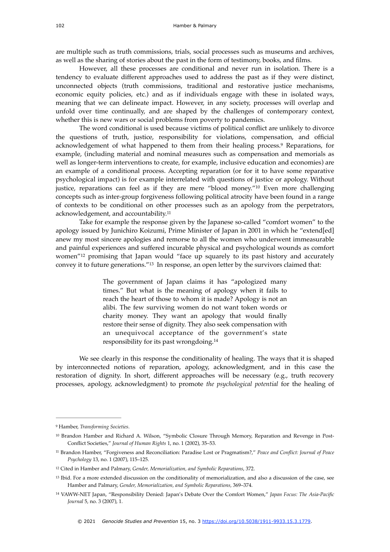are multiple such as truth commissions, trials, social processes such as museums and archives, as well as the sharing of stories about the past in the form of testimony, books, and films.

However, all these processes are conditional and never run in isolation. There is a tendency to evaluate different approaches used to address the past as if they were distinct, unconnected objects (truth commissions, traditional and restorative justice mechanisms, economic equity policies, etc.) and as if individuals engage with these in isolated ways, meaning that we can delineate impact. However, in any society, processes will overlap and unfold over time continually, and are shaped by the challenges of contemporary context, whether this is new wars or social problems from poverty to pandemics.

The word conditional is used because victims of political conflict are unlikely to divorce the questions of truth, justice, responsibility for violations, compensation, and official acknowledgementof what happened to them from their healing process.<sup>[9](#page-3-0)</sup> Reparations, for example, (including material and nominal measures such as compensation and memorials as well as longer-term interventions to create, for example, inclusive education and economies) are an example of a conditional process. Accepting reparation (or for it to have some reparative psychological impact) is for example interrelated with questions of justice or apology. Without justice, reparations can feel as if they are mere "blood money."<sup>[10](#page-3-1)</sup> Even more challenging concepts such as inter-group forgiveness following political atrocity have been found in a range of contexts to be conditional on other processes such as an apology from the perpetrators, acknowledgement, and accountability.[11](#page-3-2)

Take for example the response given by the Japanese so-called "comfort women" to the apology issued by Junichiro Koizumi, Prime Minister of Japan in 2001 in which he "extend[ed] anew my most sincere apologies and remorse to all the women who underwent immeasurable and painful experiences and suffered incurable physical and psychological wounds as comfort women"<sup>[12](#page-3-3)</sup> promising that Japan would "face up squarely to its past history and accurately conveyit to future generations."<sup>[13](#page-3-4)</sup> In response, an open letter by the survivors claimed that:

> <span id="page-3-11"></span><span id="page-3-10"></span><span id="page-3-9"></span><span id="page-3-8"></span><span id="page-3-7"></span><span id="page-3-6"></span>The government of Japan claims it has "apologized many times." But what is the meaning of apology when it fails to reach the heart of those to whom it is made? Apology is not an alibi. The few surviving women do not want token words or charity money. They want an apology that would finally restore their sense of dignity. They also seek compensation with an unequivocal acceptance of the government's state responsibility for its past wrongdoing[.14](#page-3-5)

We see clearly in this response the conditionality of healing. The ways that it is shaped by interconnected notions of reparation, apology, acknowledgment, and in this case the restoration of dignity. In short, different approaches will be necessary (e.g., truth recovery processes, apology, acknowledgment) to promote *the psychological potential* for the healing of

<span id="page-3-0"></span>Hamber, *Transforming Societies*. [9](#page-3-6)

<span id="page-3-1"></span><sup>&</sup>lt;sup>[10](#page-3-7)</sup> Brandon Hamber and Richard A. Wilson, "Symbolic Closure Through Memory, Reparation and Revenge in Post-Conflict Societies," *Journal of Human Rights* 1, no. 1 (2002), 35–53.

<span id="page-3-2"></span><sup>&</sup>lt;sup>[11](#page-3-8)</sup> Brandon Hamber, "Forgiveness and Reconciliation: Paradise Lost or Pragmatism?," Peace and Conflict: Journal of Peace *Psychology* 13, no. 1 (2007), 115–125.

<span id="page-3-3"></span><sup>&</sup>lt;sup>[12](#page-3-9)</sup> Cited in Hamber and Palmary, *Gender*, Memorialization, and Symbolic Reparations, 372.

<span id="page-3-4"></span><sup>&</sup>lt;sup>[13](#page-3-10)</sup> Ibid. For a more extended discussion on the conditionality of memorialization, and also a discussion of the case, see Hamber and Palmary, *Gender, Memorialization, and Symbolic Reparations,* 369–374.

<span id="page-3-5"></span>VAWW-NET Japan, "Responsibility Denied: Japan's Debate Over the Comfort Women," *Japan Focus: The Asia-Pacific* [14](#page-3-11) *Journal* 5, no. 3 (2007), 1.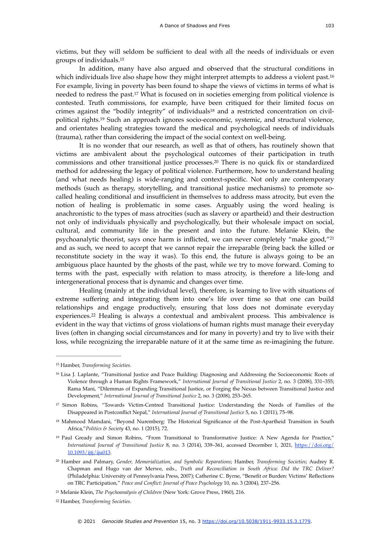<span id="page-4-8"></span>victims, but they will seldom be sufficient to deal with all the needs of individuals or even groups of individuals.[15](#page-4-0)

<span id="page-4-10"></span><span id="page-4-9"></span>In addition, many have also argued and observed that the structural conditions in which individuals live also shape how they might interpret attempts to address a violent past.<sup>[16](#page-4-1)</sup> For example, living in poverty has been found to shape the views of victims in terms of what is needed to redress the past.<sup>[17](#page-4-2)</sup> What is focused on in societies emerging from political violence is contested. Truth commissions, for example, have been critiqued for their limited focus on crime[s](#page-4-3) against the "bodily integrity" of individuals<sup>18</sup> and a restricted concentration on civil-politicalrights.<sup>[19](#page-4-4)</sup> Such an approach ignores socio-economic, systemic, and structural violence, and orientates healing strategies toward the medical and psychological needs of individuals (trauma), rather than considering the impact of the social context on well-being.

<span id="page-4-13"></span><span id="page-4-12"></span><span id="page-4-11"></span>It is no wonder that our research, as well as that of others, has routinely shown that victims are ambivalent about the psychological outcomes of their participation in truth commissionsand other transitional justice processes.<sup>[20](#page-4-5)</sup> There is no quick fix or standardized method for addressing the legacy of political violence. Furthermore, how to understand healing (and what needs healing) is wide-ranging and context-specific. Not only are contemporary methods (such as therapy, storytelling, and transitional justice mechanisms) to promote socalled healing conditional and insufficient in themselves to address mass atrocity, but even the notion of healing is problematic in some cases. Arguably using the word healing is anachronistic to the types of mass atrocities (such as slavery or apartheid) and their destruction not only of individuals physically and psychologically, but their wholesale impact on social, cultural, and community life in the present and into the future. Melanie Klein, the psychoanalytic theorist, says once harm is inflicted, we can never completely "make good,"[21](#page-4-6) and as such, we need to accept that we cannot repair the irreparable (bring back the killed or reconstitute society in the way it was). To this end, the future is always going to be an ambiguous place haunted by the ghosts of the past, while we try to move forward. Coming to terms with the past, especially with relation to mass atrocity, is therefore a life-long and intergenerational process that is dynamic and changes over time.

<span id="page-4-15"></span><span id="page-4-14"></span>Healing (mainly at the individual level), therefore, is learning to live with situations of extreme suffering and integrating them into one's life over time so that one can build relationships and engage productively, ensuring that loss does not dominate everyday experiences.<sup>22</sup> Healing is always a contextual and ambivalent process[.](#page-4-7) This ambivalence is evident in the way that victims of gross violations of human rights must manage their everyday lives (often in changing social circumstances and for many in poverty) and try to live with their loss, while recognizing the irreparable nature of it at the same time as re-imagining the future.

<span id="page-4-0"></span>[<sup>15</sup>](#page-4-8) Hamber, *Transforming Societies*.

<span id="page-4-1"></span><sup>&</sup>lt;sup>[16](#page-4-9)</sup> Lisa J. Laplante, "Transitional Justice and Peace Building: Diagnosing and Addressing the Socioeconomic Roots of Violence through a Human Rights Framework," *International Journal of Transitional Justice* 2, no. 3 (2008), 331–355; Rama Mani, "Dilemmas of Expanding Transitional Justice, or Forging the Nexus between Transitional Justice and Development," *International Journal of Transitional Justice* 2, no. 3 (2008), 253–265.

<span id="page-4-2"></span><sup>&</sup>lt;sup>[17](#page-4-10)</sup> Simon Robins, "Towards Victim-Centred Transitional Justice: Understanding the Needs of Families of the Disappeared in Postconflict Nepal," *International Journal of Transitional Justice* 5, no. 1 (2011), 75–98.

<span id="page-4-3"></span><sup>&</sup>lt;sup>[18](#page-4-11)</sup> Mahmood Mamdani, "Beyond Nuremberg: The Historical Significance of the Post-Apartheid Transition in South Africa,"*Politics & Society* 43, no. 1 (2015), 72.

<span id="page-4-4"></span><sup>&</sup>lt;sup>[19](#page-4-12)</sup> Paul Gready and Simon Robins, "From Transitional to Transformative Justice: A New Agenda for Practice," *International Journal of Transitional Justice* 8, no. 3 (2014), 339–361, accessed December 1, 2021, [https://doi.org/](https://doi.org/10.1093/ijtj/iju013) [10.1093/ijtj/iju013.](https://doi.org/10.1093/ijtj/iju013)

<span id="page-4-5"></span>Hamber and Palmary, *Gender, Memorialization, and Symbolic Reparations*; Hamber, *Transforming Societies*; Audrey R. [20](#page-4-13) Chapman and Hugo van der Merwe, eds., *Truth and Reconciliation in South Africa: Did the TRC Deliver?* (Philadelphia: University of Pennsylvania Press, 2007); Catherine C. Byrne, "Benefit or Burden: Victims' Reflections on TRC Participation," *Peace and Conflict: Journal of Peace Psychology* 10, no. 3 (2004), 237–256.

<span id="page-4-6"></span><sup>&</sup>lt;sup>[21](#page-4-14)</sup> Melanie Klein, *The Psychoanalysis of Children* (New York: Grove Press, 1960), 216.

<span id="page-4-7"></span>Hamber, *Transforming Societies*. [22](#page-4-15)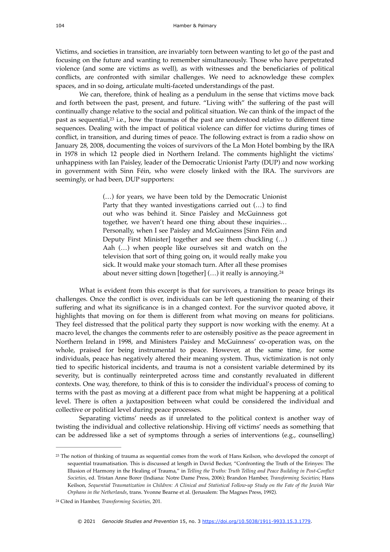Victims, and societies in transition, are invariably torn between wanting to let go of the past and focusing on the future and wanting to remember simultaneously. Those who have perpetrated violence (and some are victims as well), as with witnesses and the beneficiaries of political conflicts, are confronted with similar challenges. We need to acknowledge these complex spaces, and in so doing, articulate multi-faceted understandings of the past.

<span id="page-5-2"></span>We can, therefore, think of healing as a pendulum in the sense that victims move back and forth between the past, present, and future. "Living with" the suffering of the past will continually change relative to the social and political situation. We can think of the impact of the past as sequential, $2<sup>3</sup>$  i.e., how the traumas of the past are understood relative to different time sequences. Dealing with the impact of political violence can differ for victims during times of conflict, in transition, and during times of peace. The following extract is from a radio show on January 28, 2008, documenting the voices of survivors of the La Mon Hotel bombing by the IRA in 1978 in which 12 people died in Northern Ireland. The comments highlight the victims' unhappiness with Ian Paisley, leader of the Democratic Unionist Party (DUP) and now working in government with Sinn Féin, who were closely linked with the IRA. The survivors are seemingly, or had been, DUP supporters:

> <span id="page-5-3"></span>(…) for years, we have been told by the Democratic Unionist Party that they wanted investigations carried out (…) to find out who was behind it. Since Paisley and McGuinness got together, we haven't heard one thing about these inquiries… Personally, when I see Paisley and McGuinness [Sinn Féin and Deputy First Minister] together and see them chuckling (…) Aah (…) when people like ourselves sit and watch on the television that sort of thing going on, it would really make you sick. It would make your stomach turn. After all these promises about never sitting down [together] (…) it really is annoying[.24](#page-5-1)

What is evident from this excerpt is that for survivors, a transition to peace brings its challenges. Once the conflict is over, individuals can be left questioning the meaning of their suffering and what its significance is in a changed context. For the survivor quoted above, it highlights that moving on for them is different from what moving on means for politicians. They feel distressed that the political party they support is now working with the enemy. At a macro level, the changes the comments refer to are ostensibly positive as the peace agreement in Northern Ireland in 1998, and Ministers Paisley and McGuinness' co-operation was, on the whole, praised for being instrumental to peace. However, at the same time, for some individuals, peace has negatively altered their meaning system. Thus, victimization is not only tied to specific historical incidents, and trauma is not a consistent variable determined by its severity, but is continually reinterpreted across time and constantly revaluated in different contexts. One way, therefore, to think of this is to consider the individual's process of coming to terms with the past as moving at a different pace from what might be happening at a political level. There is often a juxtaposition between what could be considered the individual and collective or political level during peace processes.

Separating victims' needs as if unrelated to the political context is another way of twisting the individual and collective relationship. Hiving off victims' needs as something that can be addressed like a set of symptoms through a series of interventions (e.g., counselling)

<span id="page-5-0"></span><sup>&</sup>lt;sup>[23](#page-5-2)</sup> The notion of thinking of trauma as sequential comes from the work of Hans Keilson, who developed the concept of sequential traumatisation. This is discussed at length in David Becker, "Confronting the Truth of the Erinyes: The Illusion of Harmony in the Healing of Trauma," in *Telling the Truths: Truth Telling and Peace Building in Post-Conflict Societies*, ed. Tristan Anne Borer (Indiana: Notre Dame Press, 2006); Brandon Hamber, *Transforming Societies*; Hans Keilson, *Sequential Traumatization in Children: A Clinical and Statistical Follow-up Study on the Fate of the Jewish War Orphans in the Netherlands*, trans. Yvonne Bearne et al. (Jerusalem: The Magnes Press, 1992).

<span id="page-5-1"></span><sup>&</sup>lt;sup>[24](#page-5-3)</sup> Cited in Hamber, *Transforming Societies*, 201.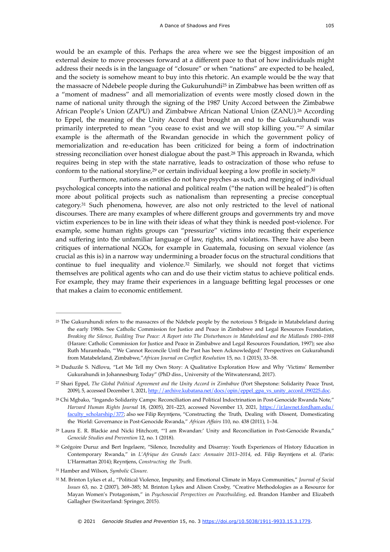<span id="page-6-9"></span><span id="page-6-8"></span>would be an example of this. Perhaps the area where we see the biggest imposition of an external desire to move processes forward at a different pace to that of how individuals might address their needs is in the language of "closure" or when "nations" are expected to be healed, and the society is somehow meant to buy into this rhetoric. An example would be the way that the massacre of Ndebele people during the Gukuruhundi<sup>[25](#page-6-0)</sup> in Zimbabwe has been written off as a "moment of madness" and all memorialization of events were mostly closed down in the name of national unity through the signing of the 1987 Unity Accord between the Zimbabwe African People's Union (ZAPU) and Zimbabwe African National Union (ZANU).<sup>[26](#page-6-1)</sup> According to Eppel, the meaning of the Unity Accord that brought an end to the Gukuruhundi was primarily interpreted to mean "you cease to exist and we will stop killing you."<sup>[27](#page-6-2)</sup> A similar example is the aftermath of the Rwandan genocide in which the government policy of memorialization and re-education has been criticized for being a form of indoctrination stressing reconciliation over honest dialogue about the past.<sup>[28](#page-6-3)</sup> This approach in Rwanda, which requires being in step with the state narrative, leads to ostracization of those who refuse to conform to the national storyline[,](#page-6-4) $29$  or certain individual keeping a low profile in society.  $30$ 

<span id="page-6-14"></span><span id="page-6-13"></span><span id="page-6-12"></span><span id="page-6-11"></span><span id="page-6-10"></span>Furthermore, nations as entities do not have psyches as such, and merging of individual psychological concepts into the national and political realm ("the nation will be healed") is often more about political projects such as nationalism than representing a precise conceptual category[.](#page-6-6)<sup>[31](#page-6-6)</sup> Such phenomena, however, are also not only restricted to the level of national discourses. There are many examples of where different groups and governments try and move victim experiences to be in line with their ideas of what they think is needed post-violence. For example, some human rights groups can "pressurize" victims into recasting their experience and suffering into the unfamiliar language of law, rights, and violations. There have also been critiques of international NGOs, for example in Guatemala, focusing on sexual violence (as crucial as this is) in a narrow way undermining a broader focus on the structural conditions that continue to fuel inequality and violence. $32$  Similarly, we should not forget that victims themselves are political agents who can and do use their victim status to achieve political ends. For example, they may frame their experiences in a language befitting legal processes or one that makes a claim to economic entitlement.

<span id="page-6-6"></span>Hamber and Wilson, *Symbolic Closure.* [31](#page-6-14)

<span id="page-6-15"></span><span id="page-6-0"></span> $25$  The Gukuruhundi refers to the massacres of the Ndebele people by the notorious  $5$  Brigade in Matabeleland during the early 1980s. See Catholic Commission for Justice and Peace in Zimbabwe and Legal Resources Foundation, *Breaking the Silence, Building True Peace: A Report into The Disturbances in Matabeleland and the Midlands 1980–1988* (Harare: Catholic Commission for Justice and Peace in Zimbabwe and Legal Resources Foundation, 1997); see also Ruth Murambado, "'We Cannot Reconcile Until the Past has been Acknowledged:' Perspectives on Gukurahundi from Matabeleland, Zimbabwe,"*African Journal on Conflict Resolution* 15, no. 1 (2015), 33–58.

<span id="page-6-1"></span><sup>&</sup>lt;sup>[26](#page-6-9)</sup> Duduzile S. Ndlovu, "Let Me Tell my Own Story: A Qualitative Exploration How and Why 'Victims' Remember Gukurahundi in Johannesburg Today" (PhD diss., University of the Witwatersrand, 2017).

<span id="page-6-2"></span>Shari Eppel, *The Global Political Agreement and the Unity Accord in Zimbabwe* (Port Shepstone: Solidarity Peace Trust, [27](#page-6-10) 2009), 5, accessed December 1, 2021, [http://archive.kubatana.net/docs/opin/eppel\\_gpa\\_vs\\_unity\\_accord\\_090225.doc.](http://archive.kubatana.net/docs/opin/eppel_gpa_vs_unity_accord_090225.doc)

<span id="page-6-3"></span>Chi Mgbako, "Ingando Solidarity Camps: Reconciliation and Political Indoctrination in Post-Genocide Rwanda Note," [28](#page-6-11) *Harvard Human Rights Journal* 18, (2005), 201–223, accessed November 13, 2021, [https://ir.lawnet.fordham.edu/](https://ir.lawnet.fordham.edu/faculty_scholarship/377) [faculty\\_scholarship/377](https://ir.lawnet.fordham.edu/faculty_scholarship/377); also see Filip Reyntjens, "Constructing the Truth, Dealing with Dissent, Domesticating the World: Governance in Post-Genocide Rwanda," *African Affairs* 110, no. 438 (2011), 1–34.

<span id="page-6-4"></span><sup>&</sup>lt;sup>[29](#page-6-12)</sup> Laura E. R. Blackie and Nicki Hitchcott, "'I am Rwandan:' Unity and Reconciliation in Post-Genocide Rwanda," *Genocide Studies and Prevention* 12, no. 1 (2018).

<span id="page-6-5"></span>[<sup>30</sup>](#page-6-13) Grégoire Duruz and Bert Ingelaere, "Silence, Incredulity and Disarray: Youth Experiences of History Education in Contemporary Rwanda," in *L'Afrique des Grands Lacs: Annuaire 2013–2014*, ed. Filip Reyntjens et al. (Paris: L'Harmattan 2014); Reyntjens, *Constructing the Truth*.

<span id="page-6-7"></span>M. Brinton Lykes et al., "Political Violence, Impunity, and Emotional Climate in Maya Communities," *Journal of Social* [32](#page-6-15) *Issues* 63, no. 2 (2007), 369–385; M. Brinton Lykes and Alison Crosby, "Creative Methodologies as a Resource for Mayan Women's Protagonism," in *Psychosocial Perspectives on Peacebuilding*, ed. Brandon Hamber and Elizabeth Gallagher (Switzerland: Springer, 2015).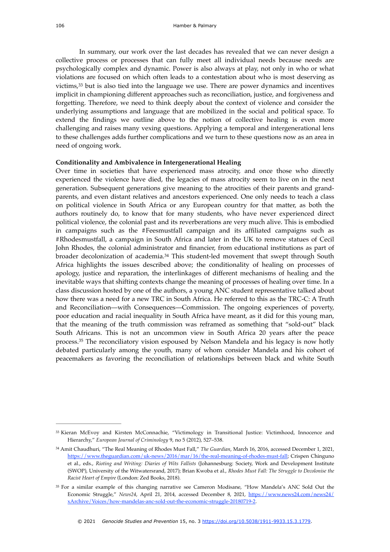<span id="page-7-3"></span>In summary, our work over the last decades has revealed that we can never design a collective process or processes that can fully meet all individual needs because needs are psychologically complex and dynamic. Power is also always at play, not only in who or what violations are focused on which often leads to a contestation about who is most deserving as victims,  $33$  but is also tied into the language we use. There are power dynamics and incentives implicit in championing different approaches such as reconciliation, justice, and forgiveness and forgetting. Therefore, we need to think deeply about the context of violence and consider the underlying assumptions and language that are mobilized in the social and political space. To extend the findings we outline above to the notion of collective healing is even more challenging and raises many vexing questions. Applying a temporal and intergenerational lens to these challenges adds further complications and we turn to these questions now as an area in need of ongoing work.

#### **Conditionality and Ambivalence in Intergenerational Healing**

<span id="page-7-4"></span>Over time in societies that have experienced mass atrocity, and once those who directly experienced the violence have died, the legacies of mass atrocity seem to live on in the next generation. Subsequent generations give meaning to the atrocities of their parents and grandparents, and even distant relatives and ancestors experienced. One only needs to teach a class on political violence in South Africa or any European country for that matter, as both the authors routinely do, to know that for many students, who have never experienced direct political violence, the colonial past and its reverberations are very much alive. This is embodied in campaigns such as the #Feesmustfall campaign and its affiliated campaigns such as #Rhodesmustfall, a campaign in South Africa and later in the UK to remove statues of Cecil John Rhodes, the colonial administrator and financier, from educational institutions as part of broader decolonization of academia.<sup>[34](#page-7-1)</sup> This student-led movement that swept through South Africa highlights the issues described above; the conditionality of healing on processes of apology, justice and reparation, the interlinkages of different mechanisms of healing and the inevitable ways that shifting contexts change the meaning of processes of healing over time. In a class discussion hosted by one of the authors, a young ANC student representative talked about how there was a need for a new TRC in South Africa. He referred to this as the TRC-C: A Truth and Reconciliation—with Consequences—Commission. The ongoing experiences of poverty, poor education and racial inequality in South Africa have meant, as it did for this young man, that the meaning of the truth commission was reframed as something that "sold-out" black South Africans. This is not an uncommon view in South Africa 20 years after the peace process.<sup>[35](#page-7-2)</sup> The reconciliatory vision espoused by Nelson Mandela and his legacy is now hotly debated particularly among the youth, many of whom consider Mandela and his cohort of peacemakers as favoring the reconciliation of relationships between black and white South

<span id="page-7-5"></span><span id="page-7-0"></span>[<sup>33</sup>](#page-7-3) Kieran McEvoy and Kirsten McConnachie, "Victimology in Transitional Justice: Victimhood, Innocence and Hierarchy," *European Journal of Criminology* 9, no 5 (2012), 527–538.

<span id="page-7-1"></span>Amit Chaudhuri, "The Real Meaning of Rhodes Must Fall," *The Guardian*, March 16, 2016, accessed December 1, 2021, [34](#page-7-4) <https://www.theguardian.com/uk-news/2016/mar/16/the-real-meaning-of-rhodes-must-fall>; Crispen Chinguno et al., eds., *Rioting and Writing: Diaries of Wits Fallists* (Johannesburg: Society, Work and Development Institute (SWOP), University of the Witwatersrand, 2017); Brian Kwoba et al., *Rhodes Must Fall: The Struggle to Decolonise the Racist Heart of Empire* (London: Zed Books, 2018).

<span id="page-7-2"></span><sup>&</sup>lt;sup>[35](#page-7-5)</sup> For a similar example of this changing narrative see Cameron Modisane, "How Mandela's ANC Sold Out the Economic Struggle," *News24*, April 21, 2014, accessed December 8, 2021, [https://www.news24.com/news24/](https://www.news24.com/news24/xArchive/Voices/how-mandelas-anc-sold-out-the-economic-struggle-20180719-2) [xArchive/Voices/how-mandelas-anc-sold-out-the-economic-struggle-20180719-2.](https://www.news24.com/news24/xArchive/Voices/how-mandelas-anc-sold-out-the-economic-struggle-20180719-2)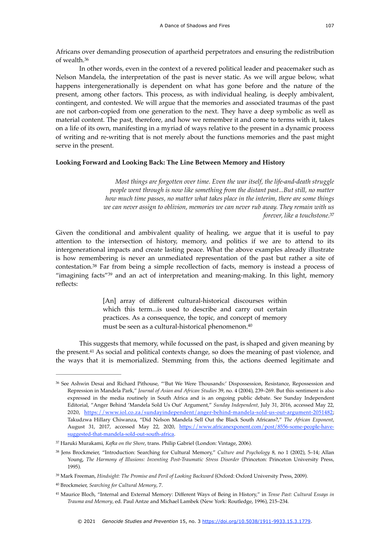<span id="page-8-6"></span>Africans over demanding prosecution of apartheid perpetrators and ensuring the redistribution of wealth.[36](#page-8-0)

In other words, even in the context of a revered political leader and peacemaker such as Nelson Mandela, the interpretation of the past is never static. As we will argue below, what happens intergenerationally is dependent on what has gone before and the nature of the present, among other factors. This process, as with individual healing, is deeply ambivalent, contingent, and contested. We will argue that the memories and associated traumas of the past are not carbon-copied from one generation to the next. They have a deep symbolic as well as material content. The past, therefore, and how we remember it and come to terms with it, takes on a life of its own, manifesting in a myriad of ways relative to the present in a dynamic process of writing and re-writing that is not merely about the functions memories and the past might serve in the present.

#### **Looking Forward and Looking Back: The Line Between Memory and History**

<span id="page-8-7"></span>*Most things are forgotten over time. Even the war itself, the life-and-death struggle people went through is now like something from the distant past...But still, no matter how much time passes, no matter what takes place in the interim, there are some things we can never assign to oblivion, memories we can never rub away. They remain with us forever, like a touchstone.*[37](#page-8-1)

Given the conditional and ambivalent quality of healing, we argue that it is useful to pay attention to the intersection of history, memory, and politics if we are to attend to its intergenerational impacts and create lasting peace. What the above examples already illustrate is how remembering is never an unmediated representation of the past but rather a site of contestation. $38$  Far from being a simple recollection of facts, memory is instead a process of "imaginingfacts" $39$  and an act of interpretation and meaning-making. In this light, memory reflects:

> <span id="page-8-10"></span><span id="page-8-9"></span><span id="page-8-8"></span>[An] array of different cultural-historical discourses within which this term...is used to describe and carry out certain practices. As a consequence, the topic, and concept of memory must be seen as a cultural-historical phenomenon[.40](#page-8-4)

<span id="page-8-11"></span>This suggests that memory, while focussed on the past, is shaped and given meaning by thepresent.<sup>[41](#page-8-5)</sup> As social and political contexts change, so does the meaning of past violence, and the ways that it is memorialized. Stemming from this, the actions deemed legitimate and

<span id="page-8-0"></span><sup>&</sup>lt;sup>[36](#page-8-6)</sup> See Ashwin Desai and Richard Pithouse, "'But We Were Thousands:' Dispossession, Resistance, Repossession and Repression in Mandela Park," *Journal of Asian and African Studies* 39, no. 4 (2004), 239–269. But this sentiment is also expressed in the media routinely in South Africa and is an ongoing public debate. See Sunday Independent Editorial, "Anger Behind 'Mandela Sold Us Out' Argument," *Sunday Independent,* July 31, 2016, accessed May 22, 2020, <https://www.iol.co.za/sundayindependent/anger-behind-mandela-sold-us-out-argument-2051482>; Takudzwa Hillary Chiwanza, "Did Nelson Mandela Sell Out the Black South Africans?," *The African Exponent*, August 31, 2017, accessed May 22, 2020, [https://www.africanexponent.com/post/8556-some-people-have](https://www.africanexponent.com/post/8556-some-people-have-suggested-that-mandela-sold-out-south-africa)[suggested-that-mandela-sold-out-south-africa.](https://www.africanexponent.com/post/8556-some-people-have-suggested-that-mandela-sold-out-south-africa)

<span id="page-8-1"></span><sup>&</sup>lt;sup>[37](#page-8-7)</sup> Haruki Murakami, *Kafka on the Shore*, trans. Philip Gabriel (London: Vintage, 2006).

<span id="page-8-2"></span><sup>&</sup>lt;sup>[38](#page-8-8)</sup> Jens Brockmeier, "Introduction: Searching for Cultural Memory," *Culture and Psychology* 8, no 1 (2002), 5-14; Allan Young, *The Harmony of Illusions: Inventing Post-Traumatic Stress Disorder* (Princeton: Princeton University Press, 1995).

<span id="page-8-3"></span><sup>&</sup>lt;sup>[39](#page-8-9)</sup> Mark Freeman, *Hindsight: The Promise and Peril of Looking Backward* (Oxford: Oxford University Press, 2009).

<span id="page-8-4"></span>Brockmeier, *Searching for Cultural Memory*, 7. [40](#page-8-10)

<span id="page-8-5"></span>Maurice Bloch, "Internal and External Memory: Different Ways of Being in History," in *Tense Past: Cultural Essays in* [41](#page-8-11) *Trauma and Memory*, ed. Paul Antze and Michael Lambek (New York: Routledge, 1996), 215–234.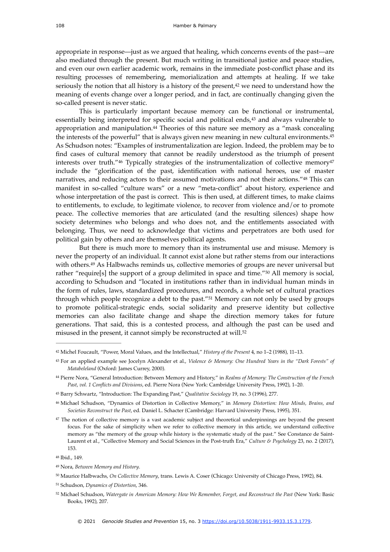appropriate in response—just as we argued that healing, which concerns events of the past—are also mediated through the present. But much writing in transitional justice and peace studies, and even our own earlier academic work, remains in the immediate post-conflict phase and its resulting processes of remembering, memorialization and attempts at healing. If we take seriouslythe notion that all history is a history of the present, $42$  we need to understand how the meaning of events change over a longer period, and in fact, are continually changing given the so-called present is never static.

<span id="page-9-17"></span><span id="page-9-16"></span><span id="page-9-15"></span><span id="page-9-14"></span><span id="page-9-13"></span><span id="page-9-12"></span><span id="page-9-11"></span>This is particularly important because memory can be functional or instrumental, essentially being interpreted for specific social and political ends, $43$  and always vulnerable to appropriation and manipulation[.](#page-9-2) $44$  Theories of this nature see memory as a "mask concealing the interests of the powerful" that is always given new meaning in new cultural environments.<sup>[45](#page-9-3)</sup> As Schudson notes: "Examples of instrumentalization are legion. Indeed, the problem may be to find cases of cultural memory that cannot be readily understood as the triumph of present interests over truth."<sup>[46](#page-9-4)</sup> Typically strategies of the instrumentalization of collective memory<sup>[47](#page-9-5)</sup> include the "glorification of the past, identification with national heroes, use of master narratives, and reducing actors to their assumed motivations and not their actions."[48](#page-9-6) This can manifest in so-called "culture wars" or a new "meta-conflict" about history, experience and whose interpretation of the past is correct. This is then used, at different times, to make claims to entitlements, to exclude, to legitimate violence, to recover from violence and/or to promote peace. The collective memories that are articulated (and the resulting silences) shape how society determines who belongs and who does not, and the entitlements associated with belonging. Thus, we need to acknowledge that victims and perpetrators are both used for political gain by others and are themselves political agents.

<span id="page-9-20"></span><span id="page-9-19"></span><span id="page-9-18"></span>But there is much more to memory than its instrumental use and misuse. Memory is never the property of an individual. It cannot exist alone but rather stems from our interactions with others.<sup>[49](#page-9-7)</sup> As Halbwachs reminds us, collective memories of groups are never universal but rather "require[s] the support of a group delimited in space and time." $50$  All memory is social, according to Schudson and "located in institutions rather than in individual human minds in the form of rules, laws, standardized procedures, and records, a whole set of cultural practices through which people recognize a debt to the past."<sup>[51](#page-9-9)</sup> Memory can not only be used by groups to promote political-strategic ends, social solidarity and preserve identity but collective memories can also facilitate change and shape the direction memory takes for future generations. That said, this is a contested process, and although the past can be used and misused in the present, it cannot simply be reconstructed at will.[52](#page-9-10)

<span id="page-9-7"></span>Nora, *Between Memory and History*. [49](#page-9-18)

<span id="page-9-9"></span>[51](#page-9-20) Schudson, *Dynamics of Distortion*, 346.

<span id="page-9-21"></span><span id="page-9-0"></span><sup>&</sup>lt;sup>[42](#page-9-11)</sup> Michel Foucault, "Power, Moral Values, and the Intellectual," *History of the Present* 4, no 1-2 (1988), 11-13.

<span id="page-9-1"></span>For an applied example see Jocelyn Alexander et al., *Violence & Memory: One Hundred Years in the "Dark Forests" of* [43](#page-9-12) *Matabeleland* (Oxford: James Currey, 2000).

<span id="page-9-2"></span>Pierre Nora, "General Introduction: Between Memory and History," in *Realms of Memory: The Construction of the French* [44](#page-9-13) *Past*, *vol. 1 Conflicts and Divisions*, ed. Pierre Nora (New York: Cambridge University Press, 1992), 1–20.

<span id="page-9-3"></span>Barry Schwartz, "Introduction: The Expanding Past," *Qualitative Sociology* 19, no. 3 (1996), 277. [45](#page-9-14)

<span id="page-9-4"></span>Michael Schudson, "Dynamics of Distortion in Collective Memory," in *Memory Distortion: How Minds, Brains, and* [46](#page-9-15) *Societies Reconstruct the Past*, ed. Daniel L. Schacter (Cambridge: Harvard University Press, 1995), 351.

<span id="page-9-5"></span><sup>&</sup>lt;sup>[47](#page-9-16)</sup> The notion of collective memory is a vast academic subject and theoretical underpinnings are beyond the present focus. For the sake of simplicity when we refer to collective memory in this article, we understand collective memory as "the memory of the group while history is the systematic study of the past." See Constance de Saint-Laurent et al., "Collective Memory and Social Sciences in the Post-truth Era," *Culture & Psychology* 23, no. 2 (2017), 153.

<span id="page-9-6"></span><sup>&</sup>lt;sup>[48](#page-9-17)</sup> Ibid., 149.

<span id="page-9-8"></span><sup>&</sup>lt;sup>[50](#page-9-19)</sup> Maurice Halbwachs, *On Collective Memory*, trans. Lewis A. Coser (Chicago: University of Chicago Press, 1992), 84.

<span id="page-9-10"></span>[<sup>52</sup>](#page-9-21) Michael Schudson, *Watergate in American Memory: How We Remember, Forget, and Reconstruct the Past* (New York: Basic Books, 1992), 207.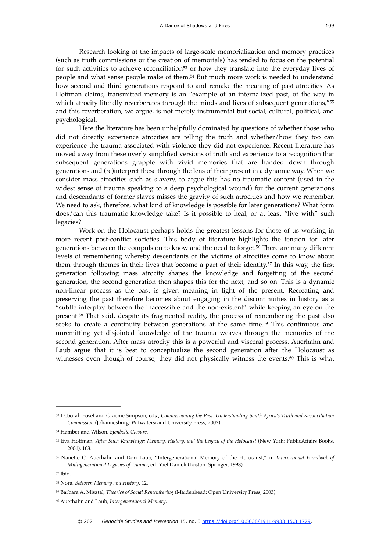<span id="page-10-9"></span><span id="page-10-8"></span>Research looking at the impacts of large-scale memorialization and memory practices (such as truth commissions or the creation of memorials) has tended to focus on the potential for such activities to achieve reco[n](#page-10-0)ciliation<sup>[53](#page-10-0)</sup> or how they translate into the everyday lives of people and what sense people make of them.<sup>[54](#page-10-1)</sup> But much more work is needed to understand how second and third generations respond to and remake the meaning of past atrocities. As Hoffman claims, transmitted memory is an "example of an internalized past, of the way in which atrocity literally reverberates through the minds and lives of subsequent generations,"<sup>[55](#page-10-2)</sup> and this reverberation, we argue, is not merely instrumental but social, cultural, political, and psychological.

<span id="page-10-10"></span>Here the literature has been unhelpfully dominated by questions of whether those who did not directly experience atrocities are telling the truth and whether/how they too can experience the trauma associated with violence they did not experience. Recent literature has moved away from these overly simplified versions of truth and experience to a recognition that subsequent generations grapple with vivid memories that are handed down through generations and (re)interpret these through the lens of their present in a dynamic way. When we consider mass atrocities such as slavery, to argue this has no traumatic content (used in the widest sense of trauma speaking to a deep psychological wound) for the current generations and descendants of former slaves misses the gravity of such atrocities and how we remember. We need to ask, therefore, what kind of knowledge is possible for later generations? What form does/can this traumatic knowledge take? Is it possible to heal, or at least "live with" such legacies?

<span id="page-10-14"></span><span id="page-10-13"></span><span id="page-10-12"></span><span id="page-10-11"></span>Work on the Holocaust perhaps holds the greatest lessons for those of us working in more recent post-conflict societies. This body of literature highlights the tension for later generations between the compulsion to know and the need to forget.<sup>[56](#page-10-3)</sup> There are many different levels of remembering whereby descendants of the victims of atrocities come to know about them through themes in their lives that become a part of their identity[.](#page-10-4)<sup>[57](#page-10-4)</sup> In this way, the first generation following mass atrocity shapes the knowledge and forgetting of the second generation, the second generation then shapes this for the next, and so on. This is a dynamic non-linear process as the past is given meaning in light of the present. Recreating and preserving the past therefore becomes about engaging in the discontinuities in history as a "subtle interplay between the inaccessible and the non-existent" while keeping an eye on the present.<sup>[58](#page-10-5)</sup> That said, despite its fragmented reality, the process of remembering the past also seeks to create a continuity between generations at the same time[.](#page-10-6)<sup>[59](#page-10-6)</sup> This continuous and unremitting yet disjointed knowledge of the trauma weaves through the memories of the second generation. After mass atrocity this is a powerful and visceral process. Auerhahn and Laub argue that it is best to conceptualize the second generation after the Holocaust as witnesses even though of course, they did not physically witness the events.<sup>[60](#page-10-7)</sup> This is what

<span id="page-10-15"></span><span id="page-10-0"></span>Deborah Posel and Graeme Simpson, eds., *Commissioning the Past: Understanding South Africa's Truth and Reconciliation* [53](#page-10-8) *Commission* (Johannesburg: Witwatersrand University Press, 2002).

<span id="page-10-1"></span>Hamber and Wilson, *Symbolic Closure*. [54](#page-10-9)

<span id="page-10-2"></span><sup>&</sup>lt;sup>[55](#page-10-10)</sup> Eva Hoffman, After Such Knowledge: Memory, History, and the Legacy of the Holocaust (New York: PublicAffairs Books, 2004), 103.

<span id="page-10-3"></span>Nanette C. Auerhahn and Dori Laub, "Intergenerational Memory of the Holocaust," in *International Handbook of* [56](#page-10-11) *Multigenerational Legacies of Trauma*, ed. Yael Danieli (Boston: Springer, 1998).

<span id="page-10-4"></span>[<sup>57</sup>](#page-10-12) Ibid.

<span id="page-10-5"></span><sup>&</sup>lt;sup>[58](#page-10-13)</sup> Nora, *Between Memory and History*, 12.

<span id="page-10-6"></span><sup>&</sup>lt;sup>[59](#page-10-14)</sup> Barbara A. Misztal, *Theories of Social Remembering* (Maidenhead: Open University Press, 2003).

<span id="page-10-7"></span>Auerhahn and Laub, *Intergenerational Memory*. [60](#page-10-15)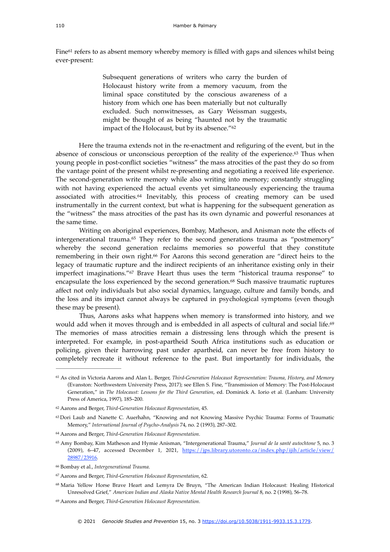<span id="page-11-9"></span>Fine<sup>[61](#page-11-0)</sup> refers to as absent memory whereby memory is filled with gaps and silences whilst being ever-present:

> <span id="page-11-11"></span><span id="page-11-10"></span>Subsequent generations of writers who carry the burden of Holocaust history write from a memory vacuum, from the liminal space constituted by the conscious awareness of a history from which one has been materially but not culturally excluded. Such nonwitnesses, as Gary Weissman suggests, might be thought of as being "haunted not by the traumatic impact of the Holocaust, but by its absence."[62](#page-11-1)

Here the trauma extends not in the re-enactment and refiguring of the event, but in the absenceof conscious or unconscious perception of the reality of the experience. $63$  Thus when young people in post-conflict societies "witness" the mass atrocities of the past they do so from the vantage point of the present whilst re-presenting and negotiating a received life experience. The second-generation write memory while also writing into memory; constantly struggling with not having experienced the actual events yet simultaneously experiencing the trauma associated with atrocities. $64$  Inevitably, this process of creating memory can be used instrumentally in the current context, but what is happening for the subsequent generation as the "witness" the mass atrocities of the past has its own dynamic and powerful resonances at the same time.

<span id="page-11-15"></span><span id="page-11-14"></span><span id="page-11-13"></span><span id="page-11-12"></span>Writing on aboriginal experiences, Bombay, Matheson, and Anisman note the effects of intergenerational trauma.<sup>[65](#page-11-4)</sup> They refer to the second generations trauma as "postmemory" whereby the second generation reclaims memories so powerful that they constitute rememberingin their own right.<sup>[66](#page-11-5)</sup> For Aarons this second generation are "direct heirs to the legacy of traumatic rupture and the indirect recipients of an inheritance existing only in their imperfect imaginations."<sup>[67](#page-11-6)</sup> Brave Heart thus uses the term "historical trauma response" to encapsulate the loss experienced by the second generation.<sup>[68](#page-11-7)</sup> Such massive traumatic ruptures affect not only individuals but also social dynamics, language, culture and family bonds, and the loss and its impact cannot always be captured in psychological symptoms (even though these may be present).

<span id="page-11-17"></span><span id="page-11-16"></span>Thus, Aarons asks what happens when memory is transformed into history, and we would add when it moves through and is embedded in all aspects of cultural and social life.<sup>[69](#page-11-8)</sup> The memories of mass atrocities remain a distressing lens through which the present is interpreted. For example, in post-apartheid South Africa institutions such as education or policing, given their harrowing past under apartheid, can never be free from history to completely recreate it without reference to the past. But importantly for individuals, the

<span id="page-11-0"></span>[<sup>61</sup>](#page-11-9) As cited in Victoria Aarons and Alan L. Berger, *Third-Generation Holocaust Representation: Trauma, History, and Memory* (Evanston: Northwestern University Press, 2017); see Ellen S. Fine, "Transmission of Memory: The Post-Holocaust Generation," in *The Holocaust: Lessons for the Third Generation*, ed. Dominick A. Iorio et al. (Lanham: University Press of America, 1997), 185–200.

<span id="page-11-1"></span><sup>&</sup>lt;sup>[62](#page-11-10)</sup> Aarons and Berger, *Third-Generation Holocaust Representation*, 45.

<span id="page-11-2"></span><sup>&</sup>lt;sup>[63](#page-11-11)</sup> Dori Laub and Nanette C. Auerhahn, "Knowing and not Knowing Massive Psychic Trauma: Forms of Traumatic Memory," *International Journal of Psycho-Analysis* 74, no. 2 (1993), 287–302.

<span id="page-11-3"></span>Aarons and Berger, *Third-Generation Holocaust Representation*. [64](#page-11-12)

<span id="page-11-4"></span><sup>&</sup>lt;sup>[65](#page-11-13)</sup> Amy Bombay, Kim Matheson and Hymie Anisman, "Intergenerational Trauma," *Journal de la santé autochtone* 5, no. 3 (2009), 6–47, accessed December 1, 2021, [https://jps.library.utoronto.ca/index.php/ijih/article/view/](https://jps.library.utoronto.ca/index.php/ijih/article/view/28987/23916) [28987/23916](https://jps.library.utoronto.ca/index.php/ijih/article/view/28987/23916).

<span id="page-11-5"></span>Bombay et al., *Intergenerational Trauma*. [66](#page-11-14)

<span id="page-11-6"></span><sup>&</sup>lt;sup>[67](#page-11-15)</sup> Aarons and Berger, *Third-Generation Holocaust Representation*, 62.

<span id="page-11-7"></span><sup>&</sup>lt;sup>[68](#page-11-16)</sup> Maria Yellow Horse Brave Heart and Lemyra De Bruyn, "The American Indian Holocaust: Healing Historical Unresolved Grief," *American Indian and Alaska Native Mental Health Research Journal* 8, no. 2 (1998), 56–78.

<span id="page-11-8"></span>Aarons and Berger, *Third-Generation Holocaust Representation*. [69](#page-11-17)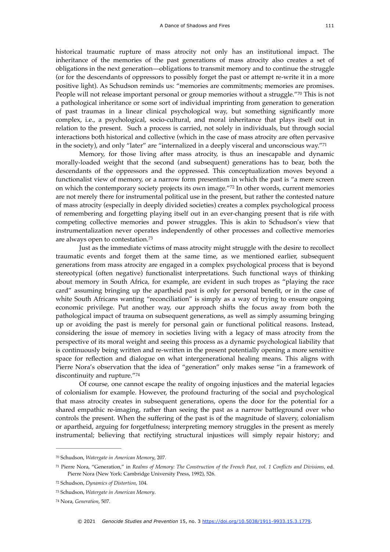<span id="page-12-5"></span>historical traumatic rupture of mass atrocity not only has an institutional impact. The inheritance of the memories of the past generations of mass atrocity also creates a set of obligations in the next generation—obligations to transmit memory and to continue the struggle (or for the descendants of oppressors to possibly forget the past or attempt re-write it in a more positive light). As Schudson reminds us: "memories are commitments; memories are promises. People will not release important personal or group memories without a struggle.["](#page-12-0)<sup>[70](#page-12-0)</sup> This is not a pathological inheritance or some sort of individual imprinting from generation to generation of past traumas in a linear clinical psychological way, but something significantly more complex, i.e., a psychological, socio-cultural, and moral inheritance that plays itself out in relation to the present. Such a process is carried, not solely in individuals, but through social interactions both historical and collective (which in the case of mass atrocity are often pervasive in the society), and only "later" are "internalized in a deeply visceral and unconscious way.["71](#page-12-1)

<span id="page-12-7"></span><span id="page-12-6"></span>Memory, for those living after mass atrocity, is thus an inescapable and dynamic morally-loaded weight that the second (and subsequent) generations has to bear, both the descendants of the oppressors and the oppressed. This conceptualization moves beyond a functionalist view of memory, or a narrow form presentism in which the past is "a mere screen on which the contemporary society projects its own image."[72](#page-12-2) In other words, current memories are not merely there for instrumental political use in the present, but rather the contested nature of mass atrocity (especially in deeply divided societies) creates a complex psychological process of remembering and forgetting playing itself out in an ever-changing present that is rife with competing collective memories and power struggles. This is akin to Schudson's view that instrumentalization never operates independently of other processes and collective memories are always open to contestation.[73](#page-12-3)

<span id="page-12-8"></span>Just as the immediate victims of mass atrocity might struggle with the desire to recollect traumatic events and forget them at the same time, as we mentioned earlier, subsequent generations from mass atrocity are engaged in a complex psychological process that is beyond stereotypical (often negative) functionalist interpretations. Such functional ways of thinking about memory in South Africa, for example, are evident in such tropes as "playing the race card" assuming bringing up the apartheid past is only for personal benefit, or in the case of white South Africans wanting "reconciliation" is simply as a way of trying to ensure ongoing economic privilege. Put another way, our approach shifts the focus away from both the pathological impact of trauma on subsequent generations, as well as simply assuming bringing up or avoiding the past is merely for personal gain or functional political reasons. Instead, considering the issue of memory in societies living with a legacy of mass atrocity from the perspective of its moral weight and seeing this process as a dynamic psychological liability that is continuously being written and re-written in the present potentially opening a more sensitive space for reflection and dialogue on what intergenerational healing means. This aligns with Pierre Nora's observation that the idea of "generation" only makes sense "in a framework of discontinuity and rupture."[74](#page-12-4)

<span id="page-12-9"></span>Of course, one cannot escape the reality of ongoing injustices and the material legacies of colonialism for example. However, the profound fracturing of the social and psychological that mass atrocity creates in subsequent generations, opens the door for the potential for a shared empathic re-imaging, rather than seeing the past as a narrow battleground over who controls the present. When the suffering of the past is of the magnitude of slavery, colonialism or apartheid, arguing for forgetfulness; interpreting memory struggles in the present as merely instrumental; believing that rectifying structural injustices will simply repair history; and

<span id="page-12-0"></span><sup>&</sup>lt;sup>[70](#page-12-5)</sup> Schudson, Watergate in American Memory, 207.

<span id="page-12-1"></span>Pierre Nora, "Generation," in *Realms of Memory: The Construction of the French Past, vol. 1 Conflicts and Divisions*, ed. [71](#page-12-6) Pierre Nora (New York: Cambridge University Press, 1992), 526.

<span id="page-12-2"></span><sup>&</sup>lt;sup>[72](#page-12-7)</sup> Schudson, *Dynamics of Distortion*, 104.

<span id="page-12-3"></span><sup>&</sup>lt;sup>[73](#page-12-8)</sup> Schudson, Watergate in American Memory.

<span id="page-12-4"></span><sup>&</sup>lt;sup>[74](#page-12-9)</sup> Nora, *Generation*, 507.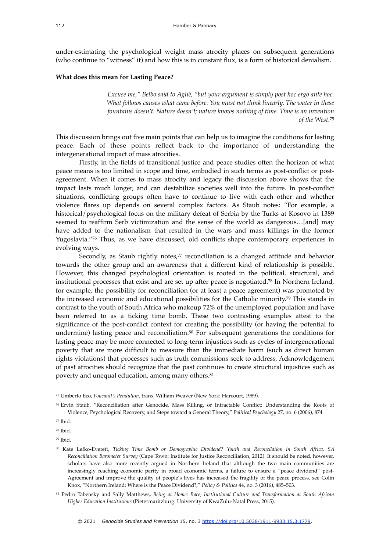under-estimating the psychological weight mass atrocity places on subsequent generations (who continue to "witness" it) and how this is in constant flux, is a form of historical denialism.

#### **What does this mean for Lasting Peace?**

<span id="page-13-7"></span>*Excuse me," Belbo said to Agliè, "but your argument is simply post hoc ergo ante hoc. What follows causes what came before. You must not think linearly. The water in these fountains doesn't. Nature doesn't; nature knows nothing of time. Time is an invention of the West.*[75](#page-13-0)

This discussion brings out five main points that can help us to imagine the conditions for lasting peace. Each of these points reflect back to the importance of understanding the intergenerational impact of mass atrocities.

Firstly, in the fields of transitional justice and peace studies often the horizon of what peace means is too limited in scope and time, embodied in such terms as post-conflict or postagreement. When it comes to mass atrocity and legacy the discussion above shows that the impact lasts much longer, and can destabilize societies well into the future. In post-conflict situations, conflicting groups often have to continue to live with each other and whether violence flares up depends on several complex factors. As Staub notes: "For example, a historical/psychological focus on the military defeat of Serbia by the Turks at Kosovo in 1389 seemed to reaffirm Serb victimization and the sense of the world as dangerous…[and] may have added to the nationalism that resulted in the wars and mass killings in the former Yugoslavia."<sup>[76](#page-13-1)</sup> Thus, as we have discussed, old conflicts shape contemporary experiences in evolving ways.

<span id="page-13-11"></span><span id="page-13-10"></span><span id="page-13-9"></span><span id="page-13-8"></span>Secondly[,](#page-13-2) as Staub rightly notes, $77$  reconciliation is a changed attitude and behavior towards the other group and an awareness that a different kind of relationship is possible. However, this changed psychological orientation is rooted in the political, structural, and institutional processes that exist and are set up after peace is negotiated[.](#page-13-3)<sup>[78](#page-13-3)</sup> In Northern Ireland, for example, the possibility for reconciliation (or at least a peace agreement) was promoted by the increased economic and educational possibilities for the Catholic minority.<sup>[79](#page-13-4)</sup> This stands in contrast to the youth of South Africa who makeup 72% of the unemployed population and have been referred to as a ticking time bomb. These two contrasting examples attest to the significance of the post-conflict context for creating the possibility (or having the potential to undermine) lasting peace and reconciliation[.](#page-13-5) $80$  For subsequent generations the conditions for lasting peace may be more connected to long-term injustices such as cycles of intergenerational poverty that are more difficult to measure than the immediate harm (such as direct human rights violations) that processes such as truth commissions seek to address. Acknowledgement of past atrocities should recognize that the past continues to create structural injustices such as poverty and unequal education, among many others.<sup>81</sup>

<span id="page-13-13"></span><span id="page-13-12"></span><span id="page-13-0"></span>Umberto Eco, *Foucault's Pendulum*, trans. William Weaver (New York: Harcourt, 1989). [75](#page-13-7)

<span id="page-13-1"></span>Ervin Staub, "Reconciliation after Genocide, Mass Killing, or Intractable Conflict: Understanding the Roots of [76](#page-13-8) Violence, Psychological Recovery, and Steps toward a General Theory," *Political Psychology* 27, no. 6 (2006), 874.

<span id="page-13-2"></span>[<sup>77</sup>](#page-13-9) Ihid.

<span id="page-13-3"></span><sup>&</sup>lt;sup>[78](#page-13-10)</sup> Ibid.

<span id="page-13-4"></span>[<sup>79</sup>](#page-13-11) Ibid.

<span id="page-13-5"></span>Kate Lefko-Everett, *Ticking Time Bomb or Demographic Dividend? Youth and Reconcilation in South Africa. SA* [80](#page-13-12) *Reconciliation Barometer Survey* (Cape Town: Institute for Justice Reconciliation, 2012). It should be noted, however, scholars have also more recently argued in Northern Ireland that although the two main communities are increasingly reaching economic parity in broad economic terms, a failure to ensure a "peace dividend" post-Agreement and improve the quality of people's lives has increased the fragility of the peace process, see Colin Knox, "Northern Ireland: Where is the Peace Dividend?," *Policy & Politics* 44, no. 3 (2016), 485–503.

<span id="page-13-6"></span>Pedro Tabensky and Sally Matthews, *Being at Home: Race, Institutional Culture and Transformation at South African* [81](#page-13-13) *Higher Education Institutions* (Pietermaritzburg: University of KwaZulu-Natal Press, 2015).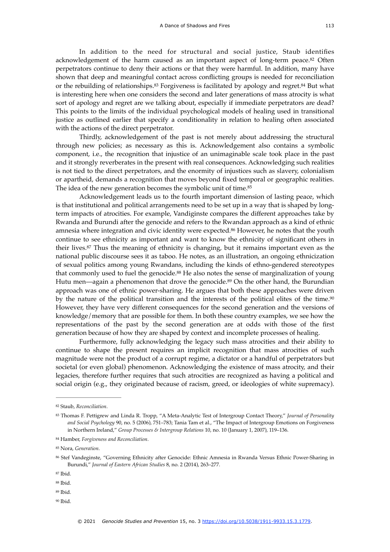<span id="page-14-11"></span><span id="page-14-10"></span><span id="page-14-9"></span>In addition to the need for structural and social justice, Staub identifies acknowledgement of the harm caused as an important aspect of long-term peace.<sup>[82](#page-14-0)</sup> Often perpetrators continue to deny their actions or that they were harmful. In addition, many have shown that deep and meaningful contact across conflicting groups is needed for reconciliation or the rebuilding of relationships.<sup>[83](#page-14-1)</sup> Forgiveness is facilitated by apology and regret.<sup>84</sup> But what is interesting here when one considers the second and later generations of mass atrocity is what sort of apology and regret are we talking about, especially if immediate perpetrators are dead? This points to the limits of the individual psychological models of healing used in transitional justice as outlined earlier that specify a conditionality in relation to healing often associated with the actions of the direct perpetrator.

Thirdly, acknowledgement of the past is not merely about addressing the structural through new policies; as necessary as this is. Acknowledgement also contains a symbolic component, i.e., the recognition that injustice of an unimaginable scale took place in the past and it strongly reverberates in the present with real consequences. Acknowledging such realities is not tied to the direct perpetrators, and the enormity of injustices such as slavery, colonialism or apartheid, demands a recognition that moves beyond fixed temporal or geographic realities. The idea of the new generation becomes the symbolic unit of time.<sup>[85](#page-14-3)</sup>

<span id="page-14-14"></span><span id="page-14-13"></span><span id="page-14-12"></span>Acknowledgement leads us to the fourth important dimension of lasting peace, which is that institutional and political arrangements need to be set up in a way that is shaped by longterm impacts of atrocities. For example, Vandiginste compares the different approaches take by Rwanda and Burundi after the genocide and refers to the Rwandan approach as a kind of ethnic amnesia where integration and civic identity were expected.<sup>[86](#page-14-4)</sup> However, he notes that the youth continue to see ethnicity as important and want to know the ethnicity of significant others in their lives. $87$  Thus the meaning of ethnicity is changing, but it remains important even as the national public discourse sees it as taboo. He notes, as an illustration, an ongoing ethnicization of sexual politics among young Rwandans, including the kinds of ethno-gendered stereotypes thatcommonly used to fuel the genocide.<sup>[88](#page-14-6)</sup> He also notes the sense of marginalization of young Hutu men—again a phenomenon that drove the genocide.<sup>[89](#page-14-7)</sup> On the other hand, the Burundian approach was one of ethnic power-sharing. He argues that both these approaches were driven by the nature of the political transition and the interests of the political elites of the time.<sup>[90](#page-14-8)</sup> However, they have very different consequences for the second generation and the versions of knowledge/memory that are possible for them. In both these country examples, we see how the representations of the past by the second generation are at odds with those of the first generation because of how they are shaped by context and incomplete processes of healing.

<span id="page-14-17"></span><span id="page-14-16"></span><span id="page-14-15"></span>Furthermore, fully acknowledging the legacy such mass atrocities and their ability to continue to shape the present requires an implicit recognition that mass atrocities of such magnitude were not the product of a corrupt regime, a dictator or a handful of perpetrators but societal (or even global) phenomenon. Acknowledging the existence of mass atrocity, and their legacies, therefore further requires that such atrocities are recognized as having a political and social origin (e.g., they originated because of racism, greed, or ideologies of white supremacy).

<span id="page-14-8"></span> $90$  Ihid.

<span id="page-14-0"></span>Staub, *Reconciliation*. [82](#page-14-9)

<span id="page-14-1"></span>Thomas F. Pettigrew and Linda R. Tropp, "A Meta-Analytic Test of Intergroup Contact Theory," *Journal of Personality* [83](#page-14-10) *and Social Psychology* 90, no. 5 (2006), 751–783; Tania Tam et al., "The Impact of Intergroup Emotions on Forgiveness in Northern Ireland," *Group Processes & Intergroup Relations* 10, no. 10 (January 1, 2007), 119–136.

<span id="page-14-2"></span>Hamber, *Forgiveness and Reconciliation*. [84](#page-14-11)

<span id="page-14-3"></span>Nora, *Generation*. [85](#page-14-12)

<span id="page-14-4"></span>Stef Vandeginste, "Governing Ethnicity after Genocide: Ethnic Amnesia in Rwanda Versus Ethnic Power-Sharing in [86](#page-14-13) Burundi," *Journal of Eastern African Studies* 8, no. 2 (2014), 263–277.

<span id="page-14-5"></span>[<sup>87</sup>](#page-14-14) Ibid.

<span id="page-14-6"></span>[<sup>88</sup>](#page-14-15) Ibid.

<span id="page-14-7"></span> $89$  Ihid.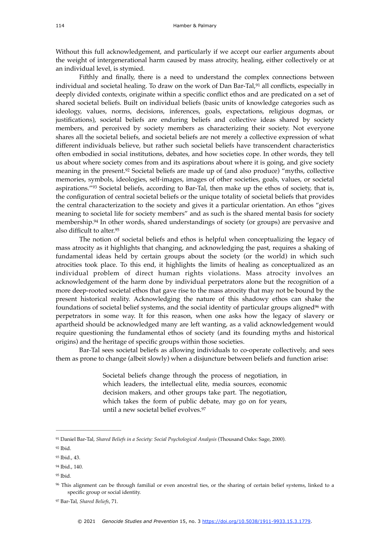Without this full acknowledgement, and particularly if we accept our earlier arguments about the weight of intergenerational harm caused by mass atrocity, healing, either collectively or at an individual level, is stymied.

<span id="page-15-7"></span>Fifthly and finally, there is a need to understand the complex connections between individual and societal healing. To draw on the work of Dan Bar-Tal[,](#page-15-0) $91$  all conflicts, especially in deeply divided contexts, originate within a specific conflict ethos and are predicated on a set of shared societal beliefs. Built on individual beliefs (basic units of knowledge categories such as ideology, values, norms, decisions, inferences, goals, expectations, religious dogmas, or justifications), societal beliefs are enduring beliefs and collective ideas shared by society members, and perceived by society members as characterizing their society. Not everyone shares all the societal beliefs, and societal beliefs are not merely a collective expression of what different individuals believe, but rather such societal beliefs have transcendent characteristics often embodied in social institutions, debates, and how societies cope. In other words, they tell us about where society comes from and its aspirations about where it is going, and give society meaning in the present[.](#page-15-1)<sup>[92](#page-15-1)</sup> Societal beliefs are made up of (and also produce) "myths, collective memories, symbols, ideologies, self-images, images of other societies, goals, values, or societal aspirations.["](#page-15-2)<sup>[93](#page-15-2)</sup> Societal beliefs, according to Bar-Tal, then make up the ethos of society, that is, the configuration of central societal beliefs or the unique totality of societal beliefs that provides the central characterization to the society and gives it a particular orientation. An ethos "gives meaning to societal life for society members" and as such is the shared mental basis for society membership.<sup>[94](#page-15-3)</sup> In other words, shared understandings of society (or groups) are pervasive and also difficult to alter.[95](#page-15-4)

<span id="page-15-11"></span><span id="page-15-10"></span><span id="page-15-9"></span><span id="page-15-8"></span>The notion of societal beliefs and ethos is helpful when conceptualizing the legacy of mass atrocity as it highlights that changing, and acknowledging the past, requires a shaking of fundamental ideas held by certain groups about the society (or the world) in which such atrocities took place. To this end, it highlights the limits of healing as conceptualized as an individual problem of direct human rights violations. Mass atrocity involves an acknowledgement of the harm done by individual perpetrators alone but the recognition of a more deep-rooted societal ethos that gave rise to the mass atrocity that may not be bound by the present historical reality. Acknowledging the nature of this shadowy ethos can shake the foundations of societal belief systems, and the social identity of particular groups aligned<sup>[96](#page-15-5)</sup> with perpetrators in some way. It for this reason, when one asks how the legacy of slavery or apartheid should be acknowledged many are left wanting, as a valid acknowledgement would require questioning the fundamental ethos of society (and its founding myths and historical origins) and the heritage of specific groups within those societies.

Bar-Tal sees societal beliefs as allowing individuals to co-operate collectively, and sees them as prone to change (albeit slowly) when a disjuncture between beliefs and function arise:

> <span id="page-15-13"></span><span id="page-15-12"></span>Societal beliefs change through the process of negotiation, in which leaders, the intellectual elite, media sources, economic decision makers, and other groups take part. The negotiation, which takes the form of public debate, may go on for years, until a new societal belief evolves.[97](#page-15-6)

<span id="page-15-0"></span><sup>&</sup>lt;sup>[91](#page-15-7)</sup> Daniel Bar-Tal, *Shared Beliefs in a Society: Social Psychological Analysis* (Thousand Oaks: Sage, 2000).

<span id="page-15-1"></span>[<sup>92</sup>](#page-15-8) Ibid.

<span id="page-15-2"></span>[<sup>93</sup>](#page-15-9) Ibid., 43.

<span id="page-15-3"></span><sup>&</sup>lt;sup>[94](#page-15-10)</sup> Ibid., 140.

<span id="page-15-4"></span>[<sup>95</sup>](#page-15-11) Ibid.

<span id="page-15-5"></span><sup>&</sup>lt;sup>[96](#page-15-12)</sup> This alignment can be through familial or even ancestral ties, or the sharing of certain belief systems, linked to a specific group or social identity.

<span id="page-15-6"></span><sup>&</sup>lt;sup>[97](#page-15-13)</sup> Bar-Tal, *Shared Beliefs*, 71.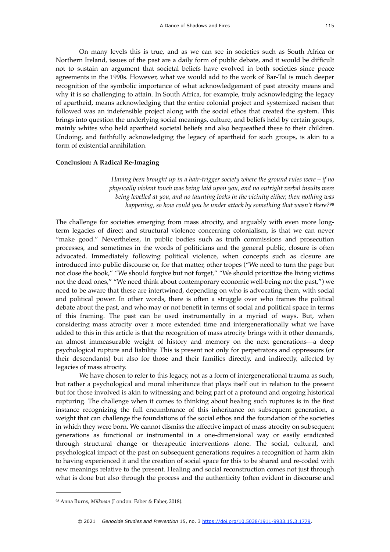On many levels this is true, and as we can see in societies such as South Africa or Northern Ireland, issues of the past are a daily form of public debate, and it would be difficult not to sustain an argument that societal beliefs have evolved in both societies since peace agreements in the 1990s. However, what we would add to the work of Bar-Tal is much deeper recognition of the symbolic importance of what acknowledgement of past atrocity means and why it is so challenging to attain. In South Africa, for example, truly acknowledging the legacy of apartheid, means acknowledging that the entire colonial project and systemized racism that followed was an indefensible project along with the social ethos that created the system. This brings into question the underlying social meanings, culture, and beliefs held by certain groups, mainly whites who held apartheid societal beliefs and also bequeathed these to their children. Undoing, and faithfully acknowledging the legacy of apartheid for such groups, is akin to a form of existential annihilation.

#### **Conclusion: A Radical Re-Imaging**

<span id="page-16-1"></span>*Having been brought up in a hair-trigger society where the ground rules were – if no physically violent touch was being laid upon you, and no outright verbal insults were being levelled at you, and no taunting looks in the vicinity either, then nothing was happening, so how could you be under attack by something that wasn't there?*[98](#page-16-0)

The challenge for societies emerging from mass atrocity, and arguably with even more longterm legacies of direct and structural violence concerning colonialism, is that we can never "make good." Nevertheless, in public bodies such as truth commissions and prosecution processes, and sometimes in the words of politicians and the general public, closure is often advocated. Immediately following political violence, when concepts such as closure are introduced into public discourse or, for that matter, other tropes ("We need to turn the page but not close the book," "We should forgive but not forget," "We should prioritize the living victims not the dead ones," "We need think about contemporary economic well-being not the past,") we need to be aware that these are intertwined, depending on who is advocating them, with social and political power. In other words, there is often a struggle over who frames the political debate about the past, and who may or not benefit in terms of social and political space in terms of this framing. The past can be used instrumentally in a myriad of ways. But, when considering mass atrocity over a more extended time and intergenerationally what we have added to this in this article is that the recognition of mass atrocity brings with it other demands, an almost immeasurable weight of history and memory on the next generations—a deep psychological rupture and liability. This is present not only for perpetrators and oppressors (or their descendants) but also for those and their families directly, and indirectly, affected by legacies of mass atrocity.

We have chosen to refer to this legacy, not as a form of intergenerational trauma as such, but rather a psychological and moral inheritance that plays itself out in relation to the present but for those involved is akin to witnessing and being part of a profound and ongoing historical rupturing. The challenge when it comes to thinking about healing such ruptures is in the first instance recognizing the full encumbrance of this inheritance on subsequent generation, a weight that can challenge the foundations of the social ethos and the foundation of the societies in which they were born. We cannot dismiss the affective impact of mass atrocity on subsequent generations as functional or instrumental in a one-dimensional way or easily eradicated through structural change or therapeutic interventions alone. The social, cultural, and psychological impact of the past on subsequent generations requires a recognition of harm akin to having experienced it and the creation of social space for this to be shared and re-coded with new meanings relative to the present. Healing and social reconstruction comes not just through what is done but also through the process and the authenticity (often evident in discourse and

<span id="page-16-0"></span><sup>&</sup>lt;sup>[98](#page-16-1)</sup> Anna Burns, *Milkman* (London: Faber & Faber, 2018).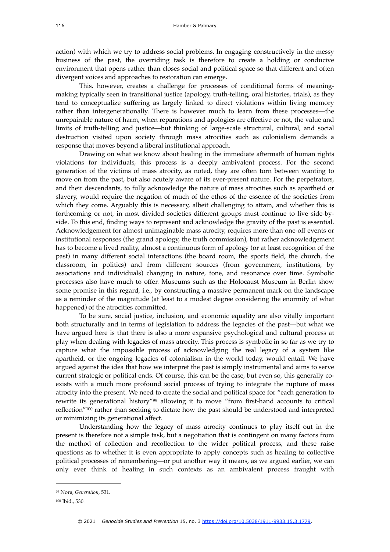action) with which we try to address social problems. In engaging constructively in the messy business of the past, the overriding task is therefore to create a holding or conducive environment that opens rather than closes social and political space so that different and often divergent voices and approaches to restoration can emerge.

This, however, creates a challenge for processes of conditional forms of meaningmaking typically seen in transitional justice (apology, truth-telling, oral histories, trials), as they tend to conceptualize suffering as largely linked to direct violations within living memory rather than intergenerationally. There is however much to learn from these processes—the unrepairable nature of harm, when reparations and apologies are effective or not, the value and limits of truth-telling and justice—but thinking of large-scale structural, cultural, and social destruction visited upon society through mass atrocities such as colonialism demands a response that moves beyond a liberal institutional approach.

Drawing on what we know about healing in the immediate aftermath of human rights violations for individuals, this process is a deeply ambivalent process. For the second generation of the victims of mass atrocity, as noted, they are often torn between wanting to move on from the past, but also acutely aware of its ever-present nature. For the perpetrators, and their descendants, to fully acknowledge the nature of mass atrocities such as apartheid or slavery, would require the negation of much of the ethos of the essence of the societies from which they come. Arguably this is necessary, albeit challenging to attain, and whether this is forthcoming or not, in most divided societies different groups must continue to live side-byside. To this end, finding ways to represent and acknowledge the gravity of the past is essential. Acknowledgement for almost unimaginable mass atrocity, requires more than one-off events or institutional responses (the grand apology, the truth commission), but rather acknowledgement has to become a lived reality, almost a continuous form of apology (or at least recognition of the past) in many different social interactions (the board room, the sports field, the church, the classroom, in politics) and from different sources (from government, institutions, by associations and individuals) changing in nature, tone, and resonance over time. Symbolic processes also have much to offer. Museums such as the Holocaust Museum in Berlin show some promise in this regard, i.e., by constructing a massive permanent mark on the landscape as a reminder of the magnitude (at least to a modest degree considering the enormity of what happened) of the atrocities committed.

To be sure, social justice, inclusion, and economic equality are also vitally important both structurally and in terms of legislation to address the legacies of the past—but what we have argued here is that there is also a more expansive psychological and cultural process at play when dealing with legacies of mass atrocity. This process is symbolic in so far as we try to capture what the impossible process of acknowledging the real legacy of a system like apartheid, or the ongoing legacies of colonialism in the world today, would entail. We have argued against the idea that how we interpret the past is simply instrumental and aims to serve current strategic or political ends. Of course, this can be the case, but even so, this generally coexists with a much more profound social process of trying to integrate the rupture of mass atrocity into the present. We need to create the social and political space for "each generation to rewrite its generational history"<sup>[99](#page-17-0)</sup> allowing it to move "from first-hand accounts to critical reflection["](#page-17-1) $100$  rather than seeking to dictate how the past should be understood and interpreted or minimizing its generational affect.

<span id="page-17-3"></span><span id="page-17-2"></span>Understanding how the legacy of mass atrocity continues to play itself out in the present is therefore not a simple task, but a negotiation that is contingent on many factors from the method of collection and recollection to the wider political process, and these raise questions as to whether it is even appropriate to apply concepts such as healing to collective political processes of remembering—or put another way it means, as we argued earlier, we can only ever think of healing in such contexts as an ambivalent process fraught with

<span id="page-17-0"></span><sup>&</sup>lt;sup>[99](#page-17-2)</sup> Nora, *Generation*, 531.

<span id="page-17-1"></span>[<sup>100</sup>](#page-17-3) Ibid., 530.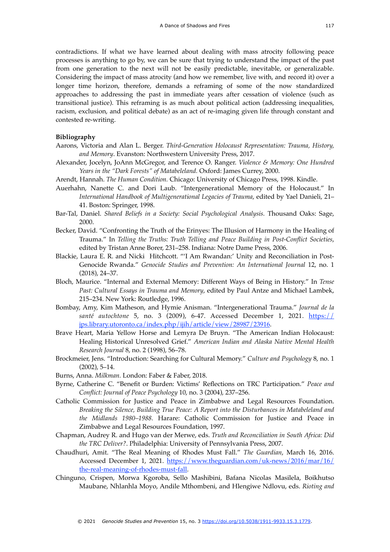contradictions. If what we have learned about dealing with mass atrocity following peace processes is anything to go by, we can be sure that trying to understand the impact of the past from one generation to the next will not be easily predictable, inevitable, or generalizable. Considering the impact of mass atrocity (and how we remember, live with, and record it) over a longer time horizon, therefore, demands a reframing of some of the now standardized approaches to addressing the past in immediate years after cessation of violence (such as transitional justice). This reframing is as much about political action (addressing inequalities, racism, exclusion, and political debate) as an act of re-imaging given life through constant and contested re-writing.

#### **Bibliography**

- Aarons, Victoria and Alan L. Berger. *Third-Generation Holocaust Representation: Trauma, History, and Memory*. Evanston: Northwestern University Press, 2017.
- Alexander, Jocelyn, JoAnn McGregor, and Terence O. Ranger. *Violence & Memory: One Hundred Years in the "Dark Forests" of Matabeleland.* Oxford: James Currey, 2000.
- Arendt, Hannah. *The Human Condition.* Chicago: University of Chicago Press, 1998. Kindle.
- Auerhahn, Nanette C. and Dori Laub. "Intergenerational Memory of the Holocaust." In *International Handbook of Multigenerational Legacies of Trauma*, edited by Yael Danieli, 21– 41. Boston: Springer, 1998.
- Bar-Tal, Daniel. *Shared Beliefs in a Society: Social Psychological Analysis.* Thousand Oaks: Sage, 2000.
- Becker, David. "Confronting the Truth of the Erinyes: The Illusion of Harmony in the Healing of Trauma." In *Telling the Truths: Truth Telling and Peace Building in Post-Conflict Societies*, edited by Tristan Anne Borer, 231–258. Indiana: Notre Dame Press, 2006.
- Blackie, Laura E. R. and Nicki Hitchcott. "'I Am Rwandan:' Unity and Reconciliation in Post-Genocide Rwanda." Genocide Studies and Prevention: An International Journal 12, no. 1 (2018), 24–37.
- Bloch, Maurice. "Internal and External Memory: Different Ways of Being in History." In *Tense Past: Cultural Essays in Trauma and Memory*, edited by Paul Antze and Michael Lambek, 215–234. New York: Routledge, 1996.
- Bombay, Amy, Kim Matheson, and Hymie Anisman. "Intergenerational Trauma." *Journal de la santé autochtone* 5, no. 3 (2009), 6-47. Accessed December 1, 2021. [https://](https://jps.library.utoronto.ca/index.php/ijih/article/view/28987/23916) [jps.library.utoronto.ca/index.php/ijih/article/view/28987/23916](https://jps.library.utoronto.ca/index.php/ijih/article/view/28987/23916).
- Brave Heart, Maria Yellow Horse and Lemyra De Bruyn. "The American Indian Holocaust: Healing Historical Unresolved Grief." *American Indian and Alaska Native Mental Health Research Journal* 8, no. 2 (1998), 56–78.
- Brockmeier, Jens. "Introduction: Searching for Cultural Memory." *Culture and Psychology* 8, no. 1 (2002), 5–14.
- Burns, Anna. *Milkman.* London: Faber & Faber, 2018.
- Byrne, Catherine C. "Benefit or Burden: Victims' Reflections on TRC Participation." *Peace and Conflict: Journal of Peace Psychology* 10, no. 3 (2004), 237–256.
- Catholic Commission for Justice and Peace in Zimbabwe and Legal Resources Foundation. *Breaking the Silence, Building True Peace: A Report into the Disturbances in Matabeleland and the Midlands 1980–1988.* Harare: Catholic Commission for Justice and Peace in Zimbabwe and Legal Resources Foundation, 1997.
- Chapman, Audrey R. and Hugo van der Merwe, eds. *Truth and Reconciliation in South Africa: Did the TRC Deliver?*. Philadelphia: University of Pennsylvania Press, 2007.
- Chaudhuri, Amit. "The Real Meaning of Rhodes Must Fall." *The Guardian*, March 16, 2016. [Accessed December 1, 2021. https://www.theguardian.com/uk-news/2016/mar/16/](https://www.theguardian.com/uk-news/2016/mar/16/the-real-meaning-of-rhodes-must-fall) [the-real-meaning-of-rhodes-must-fall.](https://www.theguardian.com/uk-news/2016/mar/16/the-real-meaning-of-rhodes-must-fall)
- Chinguno, Crispen, Morwa Kgoroba, Sello Mashibini, Bafana Nicolas Masilela, Boikhutso Maubane, Nhlanhla Moyo, Andile Mthombeni, and Hlengiwe Ndlovu, eds. *Rioting and*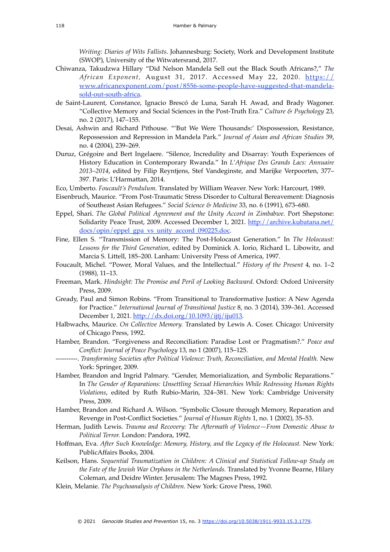*Writing: Diaries of Wits Fallists*. Johannesburg: Society, Work and Development Institute (SWOP), University of the Witwatersrand, 2017.

- Chiwanza, Takudzwa Hillary "Did Nelson Mandela Sell out the Black South Africans?," *The*  African Exponent, August 31, 2017. Accessed May 22, 2020. [https://](https://www.africanexponent.com/post/8556-some-people-have-suggested-that-mandela-sold-out-south-africa) [www.africanexponent.com/post/8556-some-people-have-suggested-that-mandela](https://www.africanexponent.com/post/8556-some-people-have-suggested-that-mandela-sold-out-south-africa)[sold-out-south-africa.](https://www.africanexponent.com/post/8556-some-people-have-suggested-that-mandela-sold-out-south-africa)
- de Saint-Laurent, Constance, Ignacio Brescó de Luna, Sarah H. Awad, and Brady Wagoner. "Collective Memory and Social Sciences in the Post-Truth Era." *Culture & Psychology* 23, no. 2 (2017), 147–155.
- Desai, Ashwin and Richard Pithouse. "'But We Were Thousands:' Dispossession, Resistance, Repossession and Repression in Mandela Park." *Journal of Asian and African Studies* 39, no. 4 (2004), 239–269.
- Duruz, Grégoire and Bert Ingelaere. "Silence, Incredulity and Disarray: Youth Experiences of History Education in Contemporary Rwanda." In *L'Afrique Des Grands Lacs: Annuaire 2013–2014*, edited by Filip Reyntjens, Stef Vandeginste, and Marijke Verpoorten, 377– 397. Paris: L'Harmattan, 2014.
- Eco, Umberto. *Foucault's Pendulum.* Translated by William Weaver. New York: Harcourt, 1989.
- Eisenbruch, Maurice. "From Post-Traumatic Stress Disorder to Cultural Bereavement: Diagnosis of Southeast Asian Refugees." *Social Science & Medicine* 33, no. 6 (1991), 673–680.
- Eppel, Shari. *The Global Political Agreement and the Unity Accord in Zimbabwe.* Port Shepstone: Solidarity Peace Trust, 2009. Accessed December 1, 2021. [http://archive.kubatana.net/](http://archive.kubatana.net/docs/opin/eppel_gpa_vs_unity_accord_090225.doc) [docs/opin/eppel\\_gpa\\_vs\\_unity\\_accord\\_090225.doc.](http://archive.kubatana.net/docs/opin/eppel_gpa_vs_unity_accord_090225.doc)
- Fine, Ellen S. "Transmission of Memory: The Post-Holocaust Generation." In *The Holocaust: Lessons for the Third Generation*, edited by Dominick A. Iorio, Richard L. Libowitz, and Marcia S. Littell, 185–200. Lanham: University Press of America, 1997.
- Foucault, Michel. "Power, Moral Values, and the Intellectual." *History of the Present* 4, no. 1–2 (1988), 11–13.
- Freeman, Mark. *Hindsight: The Promise and Peril of Looking Backward.* Oxford: Oxford University Press, 2009.
- Gready, Paul and Simon Robins. "From Transitional to Transformative Justice: A New Agenda for Practice." *International Journal of Transitional Justice* 8, no. 3 (2014), 339–361. Accessed December 1, 2021. [http://dx.doi.org/10.1093/ijtj/iju013.](http://dx.doi.org/10.1093/ijtj/iju013)
- Halbwachs, Maurice. *On Collective Memory.* Translated by Lewis A. Coser. Chicago: University of Chicago Press, 1992.
- Hamber, Brandon. "Forgiveness and Reconciliation: Paradise Lost or Pragmatism?." *Peace and Conflict: Journal of Peace Psychology* 13, no 1 (2007), 115–125.
- ----------. *Transforming Societies after Political Violence: Truth, Reconciliation, and Mental Health.* New York: Springer, 2009.
- Hamber, Brandon and Ingrid Palmary. "Gender, Memorialization, and Symbolic Reparations." In *The Gender of Reparations: Unsettling Sexual Hierarchies While Redressing Human Rights Violations*, edited by Ruth Rubio-Marin, 324–381. New York: Cambridge University Press, 2009.
- Hamber, Brandon and Richard A. Wilson. "Symbolic Closure through Memory, Reparation and Revenge in Post-Conflict Societies." *Journal of Human Rights* 1, no. 1 (2002), 35–53.
- Herman, Judith Lewis. *Trauma and Recovery: The Aftermath of Violence—From Domestic Abuse to Political Terror.* London: Pandora, 1992.
- Hoffman, Eva. *After Such Knowledge: Memory, History, and the Legacy of the Holocaust.* New York: PublicAffairs Books, 2004.
- Keilson, Hans. *Sequential Traumatization in Children: A Clinical and Statistical Follow-up Study on the Fate of the Jewish War Orphans in the Netherlands.* Translated by Yvonne Bearne, Hilary Coleman, and Deidre Winter. Jerusalem: The Magnes Press, 1992.
- Klein, Melanie. *The Psychoanalysis of Children.* New York: Grove Press, 1960.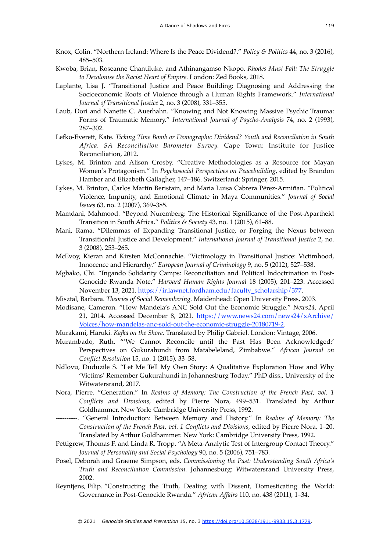- Knox, Colin. "Northern Ireland: Where Is the Peace Dividend?." *Policy & Politics* 44, no. 3 (2016), 485–503.
- Kwoba, Brian, Roseanne Chantiluke, and Athinangamso Nkopo. *Rhodes Must Fall: The Struggle to Decolonise the Racist Heart of Empire*. London: Zed Books, 2018.
- Laplante, Lisa J. "Transitional Justice and Peace Building: Diagnosing and Addressing the Socioeconomic Roots of Violence through a Human Rights Framework." *International Journal of Transitional Justice* 2, no. 3 (2008), 331–355.
- Laub, Dori and Nanette C. Auerhahn. "Knowing and Not Knowing Massive Psychic Trauma: Forms of Traumatic Memory." *International Journal of Psycho-Analysis* 74, no. 2 (1993), 287–302.
- Lefko-Everett, Kate. *Ticking Time Bomb or Demographic Dividend? Youth and Reconcilation in South Africa. SA Reconciliation Barometer Survey.* Cape Town: Institute for Justice Reconciliation, 2012.
- Lykes, M. Brinton and Alison Crosby. "Creative Methodologies as a Resource for Mayan Women's Protagonism." In *Psychosocial Perspectives on Peacebuilding*, edited by Brandon Hamber and Elizabeth Gallagher, 147–186. Switzerland: Springer, 2015.
- Lykes, M. Brinton, Carlos Martín Beristain, and Maria Luisa Cabrera Pérez-Armiñan. "Political Violence, Impunity, and Emotional Climate in Maya Communities." *Journal of Social Issues* 63, no. 2 (2007), 369–385.
- Mamdani, Mahmood. "Beyond Nuremberg: The Historical Significance of the Post-Apartheid Transition in South Africa." *Politics & Society* 43, no. 1 (2015), 61–88.
- Mani, Rama. "Dilemmas of Expanding Transitional Justice, or Forging the Nexus between Transitionfal Justice and Development." *International Journal of Transitional Justice* 2, no. 3 (2008), 253–265.
- McEvoy, Kieran and Kirsten McConnachie. "Victimology in Transitional Justice: Victimhood, Innocence and Hierarchy." *European Journal of Criminology* 9, no. 5 (2012), 527–538.
- Mgbako, Chi. "Ingando Solidarity Camps: Reconciliation and Political Indoctrination in Post-Genocide Rwanda Note." *Harvard Human Rights Journal* 18 (2005), 201–223. Accessed November 13, 2021. [https://ir.lawnet.fordham.edu/faculty\\_scholarship/377](https://ir.lawnet.fordham.edu/faculty_scholarship/377).
- Misztal, Barbara. *Theories of Social Remembering.* Maidenhead: Open University Press, 2003.
- Modisane, Cameron. "How Mandela's ANC Sold Out the Economic Struggle." *News24*, April [21, 2014. Accessed December 8, 2021. https://www.news24.com/news24/xArchive/](https://www.news24.com/news24/xArchive/Voices/how-mandelas-anc-sold-out-the-economic-struggle-20180719-2) [Voices/how-mandelas-anc-sold-out-the-economic-struggle-20180719-2](https://www.news24.com/news24/xArchive/Voices/how-mandelas-anc-sold-out-the-economic-struggle-20180719-2).
- Murakami, Haruki. *Kafka on the Shore.* Translated by Philip Gabriel. London: Vintage, 2006.
- Murambado, Ruth. "'We Cannot Reconcile until the Past Has Been Acknowledged:' Perspectives on Gukurahundi from Matabeleland, Zimbabwe." *African Journal on Conflict Resolution* 15, no. 1 (2015), 33–58.
- Ndlovu, Duduzile S. "Let Me Tell My Own Story: A Qualitative Exploration How and Why 'Victims' Remember Gukurahundi in Johannesburg Today." PhD diss., University of the Witwatersrand, 2017.
- Nora, Pierre. "Generation." In *Realms of Memory: The Construction of the French Past, vol. 1 Conflicts and Divisions*, edited by Pierre Nora, 499–531. Translated by Arthur Goldhammer. New York: Cambridge University Press, 1992.
- ----------. "General Introduction: Between Memory and History." In *Realms of Memory: The Construction of the French Past, vol. 1 Conflicts and Divisions*, edited by Pierre Nora, 1–20. Translated by Arthur Goldhammer. New York: Cambridge University Press, 1992.
- Pettigrew, Thomas F. and Linda R. Tropp. "A Meta-Analytic Test of Intergroup Contact Theory." *Journal of Personality and Social Psychology* 90, no. 5 (2006), 751–783.
- Posel, Deborah and Graeme Simpson, eds. *Commissioning the Past: Understanding South Africa's Truth and Reconciliation Commission.* Johannesburg: Witwatersrand University Press, 2002.
- Reyntjens, Filip. "Constructing the Truth, Dealing with Dissent, Domesticating the World: Governance in Post-Genocide Rwanda." *African Affairs* 110, no. 438 (2011), 1–34.